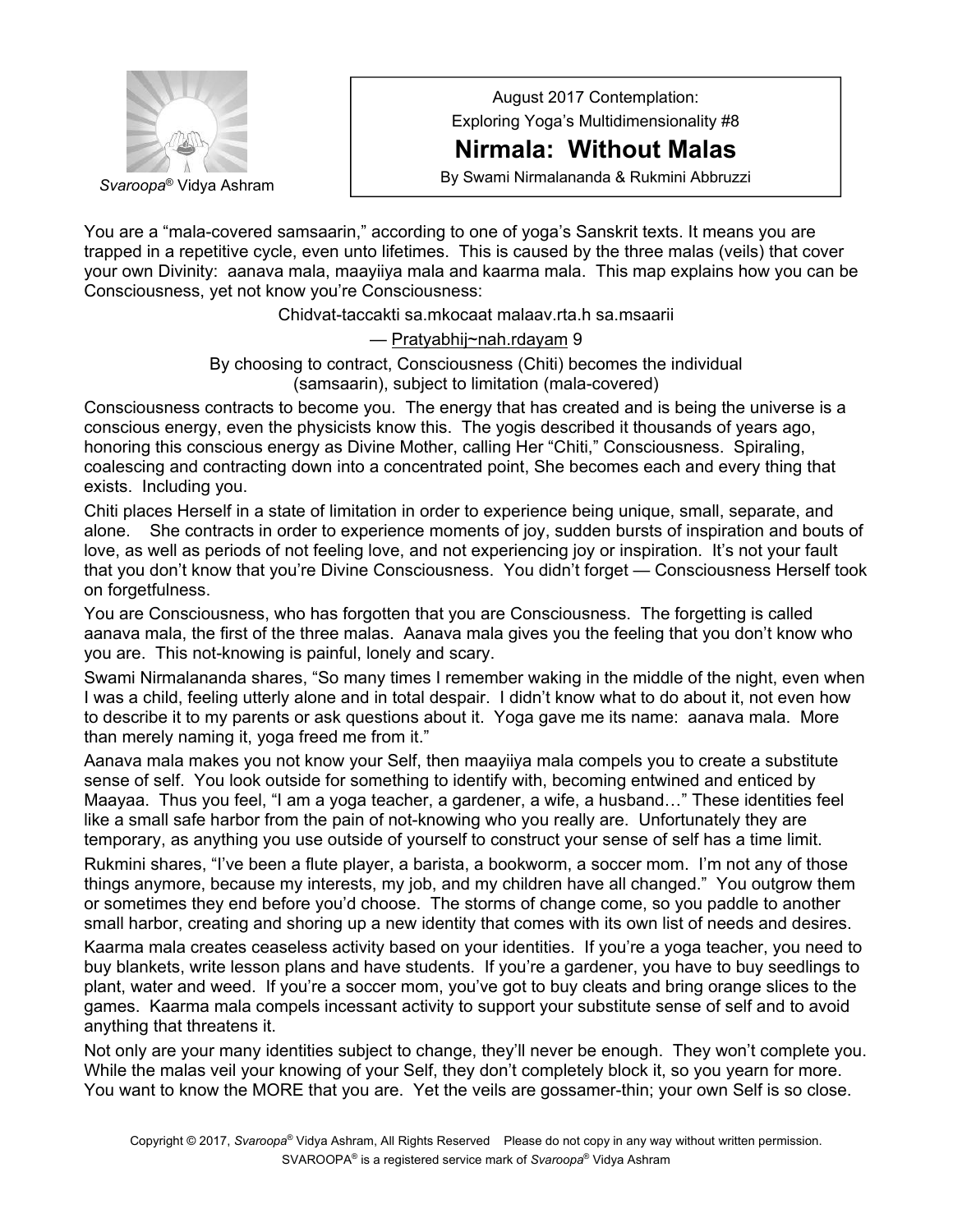

August 2017 Contemplation: Exploring Yoga's Multidimensionality #8

## **Nirmala: Without Malas**

By Swami Nirmalananda & Rukmini Abbruzzi *Svaroopa*® Vidya Ashram

You are a "mala-covered samsaarin," according to one of yoga's Sanskrit texts. It means you are trapped in a repetitive cycle, even unto lifetimes. This is caused by the three malas (veils) that cover your own Divinity: aanava mala, maayiiya mala and kaarma mala. This map explains how you can be Consciousness, yet not know you're Consciousness:

Chidvat-taccakti sa.mkocaat malaav.rta.h sa.msaarii

— Pratyabhij~nah.rdayam 9

By choosing to contract, Consciousness (Chiti) becomes the individual (samsaarin), subject to limitation (mala-covered)

Consciousness contracts to become you. The energy that has created and is being the universe is a conscious energy, even the physicists know this. The yogis described it thousands of years ago, honoring this conscious energy as Divine Mother, calling Her "Chiti," Consciousness. Spiraling, coalescing and contracting down into a concentrated point, She becomes each and every thing that exists. Including you.

Chiti places Herself in a state of limitation in order to experience being unique, small, separate, and alone. She contracts in order to experience moments of joy, sudden bursts of inspiration and bouts of love, as well as periods of not feeling love, and not experiencing joy or inspiration. It's not your fault that you don't know that you're Divine Consciousness. You didn't forget — Consciousness Herself took on forgetfulness.

You are Consciousness, who has forgotten that you are Consciousness. The forgetting is called aanava mala, the first of the three malas. Aanava mala gives you the feeling that you don't know who you are. This not-knowing is painful, lonely and scary.

Swami Nirmalananda shares, "So many times I remember waking in the middle of the night, even when I was a child, feeling utterly alone and in total despair. I didn't know what to do about it, not even how to describe it to my parents or ask questions about it. Yoga gave me its name: aanava mala. More than merely naming it, yoga freed me from it."

Aanava mala makes you not know your Self, then maayiiya mala compels you to create a substitute sense of self. You look outside for something to identify with, becoming entwined and enticed by Maayaa. Thus you feel, "I am a yoga teacher, a gardener, a wife, a husband…" These identities feel like a small safe harbor from the pain of not-knowing who you really are. Unfortunately they are temporary, as anything you use outside of yourself to construct your sense of self has a time limit.

Rukmini shares, "I've been a flute player, a barista, a bookworm, a soccer mom. I'm not any of those things anymore, because my interests, my job, and my children have all changed." You outgrow them or sometimes they end before you'd choose. The storms of change come, so you paddle to another small harbor, creating and shoring up a new identity that comes with its own list of needs and desires.

Kaarma mala creates ceaseless activity based on your identities. If you're a yoga teacher, you need to buy blankets, write lesson plans and have students. If you're a gardener, you have to buy seedlings to plant, water and weed. If you're a soccer mom, you've got to buy cleats and bring orange slices to the games. Kaarma mala compels incessant activity to support your substitute sense of self and to avoid anything that threatens it.

Not only are your many identities subject to change, they'll never be enough. They won't complete you. While the malas veil your knowing of your Self, they don't completely block it, so you yearn for more. You want to know the MORE that you are. Yet the veils are gossamer-thin; your own Self is so close.